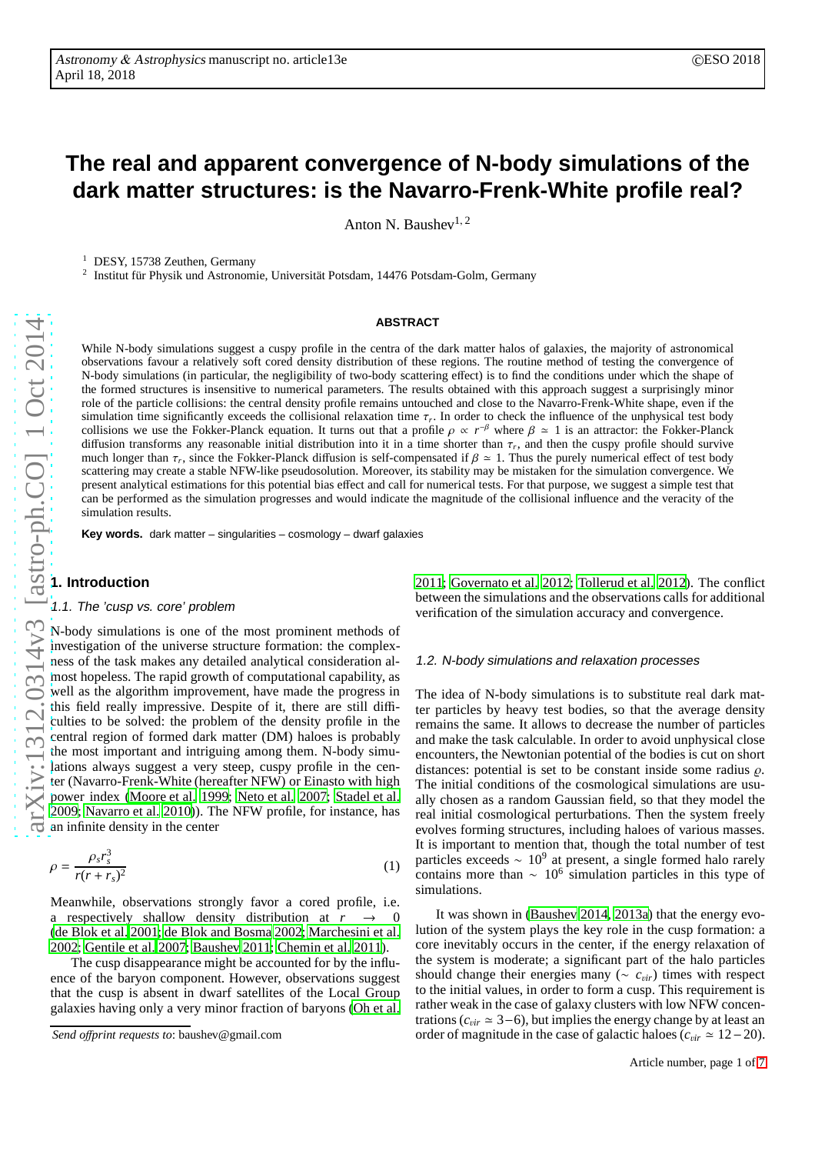# **The real and apparent convergence of N-body simulations of the dark matter structures: is the Navarro-Frenk-White profile real?**

Anton N. Baushev<sup>1, 2</sup>

<sup>1</sup> DESY, 15738 Zeuthen, Germany

<sup>2</sup> Institut für Physik und Astronomie, Universität Potsdam, 14476 Potsdam-Golm, Germany

### **ABSTRACT**

While N-body simulations suggest a cuspy profile in the centra of the dark matter halos of galaxies, the majority of astronomical observations favour a relatively soft cored density distribution of these regions. The routine method of testing the convergence of N-body simulations (in particular, the negligibility of two-body scattering effect) is to find the conditions under which the shape of the formed structures is insensitive to numerical parameters. The results obtained with this approach suggest a surprisingly minor role of the particle collisions: the central density profile remains untouched and close to the Navarro-Frenk-White shape, even if the simulation time significantly exceeds the collisional relaxation time τ*<sup>r</sup>* simulation time significantly exceeds the collisional relaxation time  $\tau_r$ . In order to check the influence of the unphysical test body collisions we use the Fokker-Planck equation. It turns out that a profile  $\rho \propto r$ collisions we use the Fokker-Planck equation. It turns out that a profile  $\rho \propto r^{-\beta}$  where  $\beta \simeq 1$  is an attractor: the Fokker-Planck diffusion transforms any reasonable initial distribution into it in a time shorter than  $\tau_r$ , and then the cuspy profile should survive much longer than τ*<sup>r</sup>* much longer than  $\tau_r$ , since the Fokker-Planck diffusion is self-compensated if  $\beta \approx 1$ . Thus the purely numerical effect of test body scattering may create a stable NFW-like pseudosolution. Moreover, its stability may be mistaken for the simulation convergence. We present analytical estimations for this potential bias effect and call for numerical tests. For that purpose, we suggest a simple test that can be performed as the simulation progresses and would indicate the magnitude of the collisional influence and the veracity of the simulation results.

**Key words.** dark matter – singularities – cosmology – dwarf galaxies

## **1. Introduction**

#### 1.1. The 'cusp vs. core' problem

N-body simulations is one of the most prominent methods of investigation of the universe structure formation: the complexness of the task makes any detailed analytical consideration almost hopeless. The rapid growth of computational capability, as well as the algorithm improvement, have made the progress in this field really impressive. Despite of it, there are still difficulties to be solved: the problem of the density profile in the central region of formed dark matter (DM) haloes is probably the most important and intriguing among them. N-body simulations always suggest a very steep, cuspy profile in the center (Navarro-Frenk-White (hereafter NFW) or Einasto with high power index [\(Moore et al. 1999;](#page-5-0) [Neto et al. 2007;](#page-5-1) [Stadel et al.](#page-5-2) [2009;](#page-5-2) [Navarro et al. 2010\)](#page-5-3)). The NFW profile, for instance, has an infinite density in the center

<span id="page-0-0"></span>
$$
\rho = \frac{\rho_s r_s^3}{r(r + r_s)^2} \tag{1}
$$

Meanwhile, observations strongly favor a cored profile, i.e. a respectively shallow density distribution at  $r \rightarrow 0$ [\(de Blok et al. 2001;](#page-5-4) [de Blok and Bosma 2002;](#page-5-5) [Marchesini et al.](#page-6-0) [2002;](#page-6-0) [Gentile et al. 2007;](#page-6-1) [Baushev 2011;](#page-6-2) [Chemin et al. 2011\)](#page-6-3).

The cusp disappearance might be accounted for by the influence of the baryon component. However, observations suggest that the cusp is absent in dwarf satellites of the Local Group galaxies having only a very minor fraction of baryons [\(Oh et al.](#page-6-4) [2011;](#page-6-4) [Governato et al. 2012](#page-6-5); [Tollerud et al. 2012\)](#page-6-6). The conflict between the simulations and the observations calls for additional verification of the simulation accuracy and convergence.

#### 1.2. N-body simulations and relaxation processes

The idea of N-body simulations is to substitute real dark matter particles by heavy test bodies, so that the average density remains the same. It allows to decrease the number of particles and make the task calculable. In order to avoid unphysical close encounters, the Newtonian potential of the bodies is cut on short distances: potential is set to be constant inside some radius  $\rho$ . The initial conditions of the cosmological simulations are usually chosen as a random Gaussian field, so that they model the real initial cosmological perturbations. Then the system freely evolves forming structures, including haloes of various masses. It is important to mention that, though the total number of test particles exceeds  $\sim 10^9$  at present, a single formed halo rarely contains more than  $\sim 10^6$  simulation particles in this type of simulations.

It was shown in [\(Baushev 2014,](#page-6-7) [2013a\)](#page-6-8) that the energy evolution of the system plays the key role in the cusp formation: a core inevitably occurs in the center, if the energy relaxation of the system is moderate; a significant part of the halo particles should change their energies many (∼  $c_{vir}$ ) times with respect to the initial values, in order to form a cusp. This requirement is rather weak in the case of galaxy clusters with low NFW concentrations ( $c_{vir} \approx 3-6$ ), but implies the energy change by at least an order of magnitude in the case of galactic haloes ( $c_{vir} \approx 12-20$ ).

*Send o*ff*print requests to*: baushev@gmail.com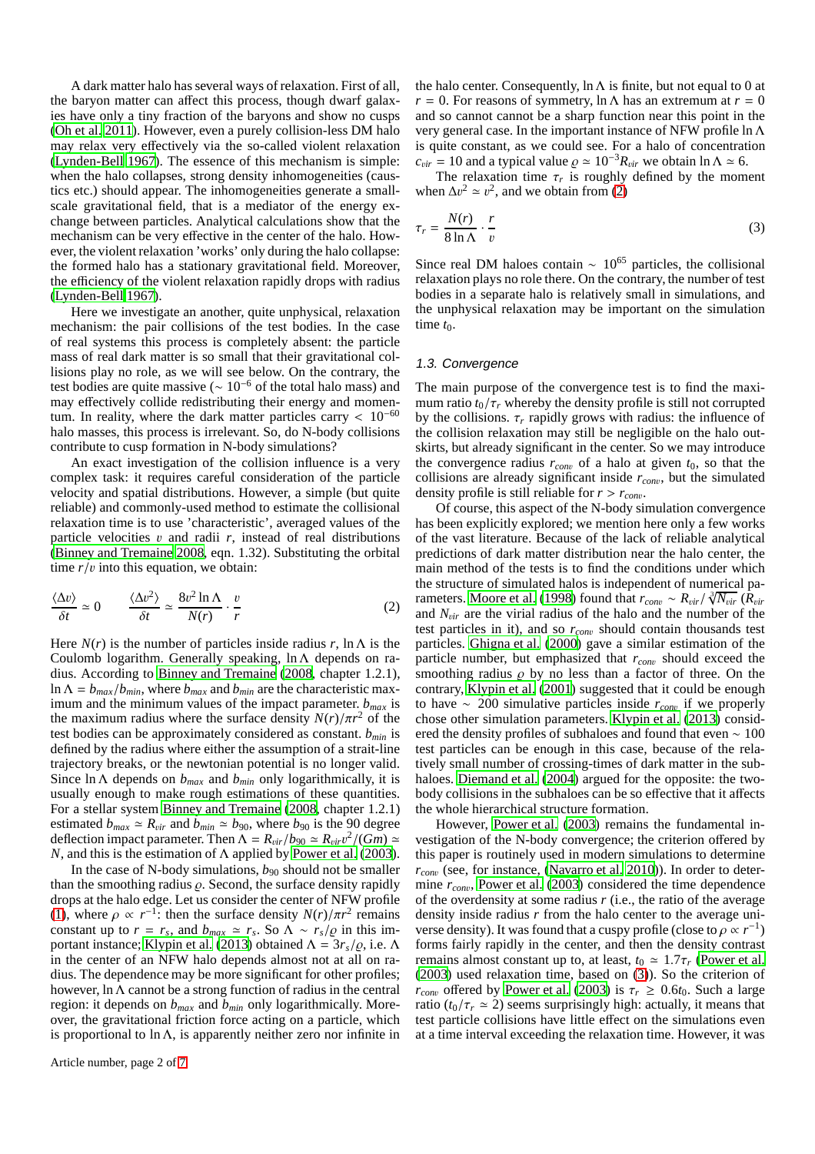A dark matter halo has several ways of relaxation. First of all, the baryon matter can affect this process, though dwarf galaxies have only a tiny fraction of the baryons and show no cusps [\(Oh et al. 2011\)](#page-6-4). However, even a purely collision-less DM halo may relax very effectively via the so-called violent relaxation [\(Lynden-Bell 1967](#page-6-9)). The essence of this mechanism is simple: when the halo collapses, strong density inhomogeneities (caustics etc.) should appear. The inhomogeneities generate a smallscale gravitational field, that is a mediator of the energy exchange between particles. Analytical calculations show that the mechanism can be very effective in the center of the halo. However, the violent relaxation 'works' only during the halo collapse: the formed halo has a stationary gravitational field. Moreover, the efficiency of the violent relaxation rapidly drops with radius [\(Lynden-Bell 1967\)](#page-6-9).

Here we investigate an another, quite unphysical, relaxation mechanism: the pair collisions of the test bodies. In the case of real systems this process is completely absent: the particle mass of real dark matter is so small that their gravitational collisions play no role, as we will see below. On the contrary, the test bodies are quite massive ( $\sim 10^{-6}$  of the total halo mass) and may effectively collide redistributing their energy and momentum. In reality, where the dark matter particles carry  $< 10^{-60}$ halo masses, this process is irrelevant. So, do N-body collisions contribute to cusp formation in N-body simulations?

An exact investigation of the collision influence is a very complex task: it requires careful consideration of the particle velocity and spatial distributions. However, a simple (but quite reliable) and commonly-used method to estimate the collisional relaxation time is to use 'characteristic', averaged values of the particle velocities  $v$  and radii  $r$ , instead of real distributions [\(Binney and Tremaine 2008,](#page-6-10) eqn. 1.32). Substituting the orbital time  $r/v$  into this equation, we obtain:

$$
\frac{\langle \Delta v \rangle}{\delta t} \simeq 0 \qquad \frac{\langle \Delta v^2 \rangle}{\delta t} \simeq \frac{8v^2 \ln \Lambda}{N(r)} \cdot \frac{v}{r}
$$
 (2)

Here  $N(r)$  is the number of particles inside radius  $r$ , ln  $\Lambda$  is the Coulomb logarithm. Generally speaking, ln Λ depends on radius. According to [Binney and Tremaine \(2008,](#page-6-10) chapter 1.2.1), ln  $\Lambda = b_{max}/b_{min}$ , where  $b_{max}$  and  $b_{min}$  are the characteristic maximum and the minimum values of the impact parameter. *bmax* is the maximum radius where the surface density  $N(r)/\pi r^2$  of the test bodies can be approximately considered as constant. *bmin* is defined by the radius where either the assumption of a strait-line trajectory breaks, or the newtonian potential is no longer valid. Since  $\ln \Lambda$  depends on  $b_{max}$  and  $b_{min}$  only logarithmically, it is usually enough to make rough estimations of these quantities. For a stellar system [Binney and Tremaine \(2008,](#page-6-10) chapter 1.2.1) estimated  $b_{max} \approx R_{vir}$  and  $b_{min} \approx b_{90}$ , where  $b_{90}$  is the 90 degree deflection impact parameter. Then  $\Lambda = R_{vir}/b_{90} \simeq R_{vir}v^2/(Gm) \simeq$ *N*, and this is the estimation of Λ applied by [Power et al. \(2003](#page-6-11)).

In the case of N-body simulations,  $b_{90}$  should not be smaller than the smoothing radius  $\rho$ . Second, the surface density rapidly drops at the halo edge. Let us consider the center of NFW profile [\(1\)](#page-0-0), where  $\rho \propto r^{-1}$ : then the surface density  $N(r)/\pi r^2$  remains constant up to  $r = r_s$ , and  $b_{max} \approx r_s$ . So  $\Lambda \sim r_s/\rho$  in this im-portant instance; [Klypin et al. \(2013\)](#page-6-12) obtained  $\Lambda = 3r_s/\rho$ , i.e.  $\Lambda$ in the center of an NFW halo depends almost not at all on radius. The dependence may be more significant for other profiles; however, ln Λ cannot be a strong function of radius in the central region: it depends on *bmax* and *bmin* only logarithmically. Moreover, the gravitational friction force acting on a particle, which is proportional to  $\ln \Lambda$ , is apparently neither zero nor infinite in

the halo center. Consequently, ln  $\Lambda$  is finite, but not equal to 0 at  $r = 0$ . For reasons of symmetry, ln  $\Lambda$  has an extremum at  $r = 0$ and so cannot cannot be a sharp function near this point in the very general case. In the important instance of NFW profile ln Λ is quite constant, as we could see. For a halo of concentration  $c_{vir} = 10$  and a typical value  $\rho \simeq 10^{-3} R_{vir}$  we obtain ln  $\Lambda \simeq 6$ .

<span id="page-1-1"></span>The relaxation time  $\tau_r$  is roughly defined by the moment when  $\Delta v^2 \simeq v^2$ , and we obtain from [\(2\)](#page-1-0)

$$
\tau_r = \frac{N(r)}{8\ln\Lambda} \cdot \frac{r}{v} \tag{3}
$$

Since real DM haloes contain  $\sim 10^{65}$  particles, the collisional relaxation plays no role there. On the contrary, the number of test bodies in a separate halo is relatively small in simulations, and the unphysical relaxation may be important on the simulation time  $t_0$ .

#### 1.3. Convergence

The main purpose of the convergence test is to find the maximum ratio  $t_0/\tau_r$  whereby the density profile is still not corrupted by the collisions.  $\tau_r$  rapidly grows with radius: the influence of the collision relaxation may still be negligible on the halo outskirts, but already significant in the center. So we may introduce the convergence radius *rcon*<sup>v</sup> of a halo at given *t*0, so that the collisions are already significant inside *rcon*<sup>v</sup> , but the simulated density profile is still reliable for *r* > *rcon*<sup>v</sup> .

<span id="page-1-0"></span>Of course, this aspect of the N-body simulation convergence has been explicitly explored; we mention here only a few works of the vast literature. Because of the lack of reliable analytical predictions of dark matter distribution near the halo center, the main method of the tests is to find the conditions under which the structure of simulated halos is independent of numerical pa-rameters. [Moore et al. \(1998](#page-6-13)) found that  $r_{conv} \sim R_{vir}/\sqrt[3]{N_{vir}}$  ( $R_{vir}$ and  $N_{vir}$  are the virial radius of the halo and the number of the test particles in it), and so *rcon*<sup>v</sup> should contain thousands test particles. [Ghigna et al. \(2000](#page-6-14)) gave a similar estimation of the particle number, but emphasized that *rcon*<sup>v</sup> should exceed the smoothing radius  $\rho$  by no less than a factor of three. On the contrary, [Klypin et al. \(2001\)](#page-6-15) suggested that it could be enough to have ∼ 200 simulative particles inside *rcon*<sup>v</sup> if we properly chose other simulation parameters. [Klypin et al.](#page-6-12) [\(2013\)](#page-6-12) considered the density profiles of subhaloes and found that even ∼ 100 test particles can be enough in this case, because of the relatively small number of crossing-times of dark matter in the subhaloes. [Diemand et al. \(2004](#page-6-16)) argued for the opposite: the twobody collisions in the subhaloes can be so effective that it affects the whole hierarchical structure formation.

However, [Power et al.](#page-6-11) [\(2003\)](#page-6-11) remains the fundamental investigation of the N-body convergence; the criterion offered by this paper is routinely used in modern simulations to determine *rcon*<sup>v</sup> (see, for instance, [\(Navarro et al. 2010\)](#page-5-3)). In order to determine *rcon*<sup>v</sup> , [Power et al.](#page-6-11) [\(2003\)](#page-6-11) considered the time dependence of the overdensity at some radius *r* (i.e., the ratio of the average density inside radius *r* from the halo center to the average universe density). It was found that a cuspy profile (close to  $\rho \propto r^{-1}$ ) forms fairly rapidly in the center, and then the density contrast remains almost constant up to, at least,  $t_0 \approx 1.7\tau_r$  [\(Power et al.](#page-6-11) [\(2003\)](#page-6-11) used relaxation time, based on [\(3\)](#page-1-1)). So the criterion of *r*<sub>conv</sub> offered by [Power et al.](#page-6-11) [\(2003\)](#page-6-11) is  $\tau_r \geq 0.6t_0$ . Such a large ratio ( $t_0/\tau_r \approx 2$ ) seems surprisingly high: actually, it means that test particle collisions have little effect on the simulations even at a time interval exceeding the relaxation time. However, it was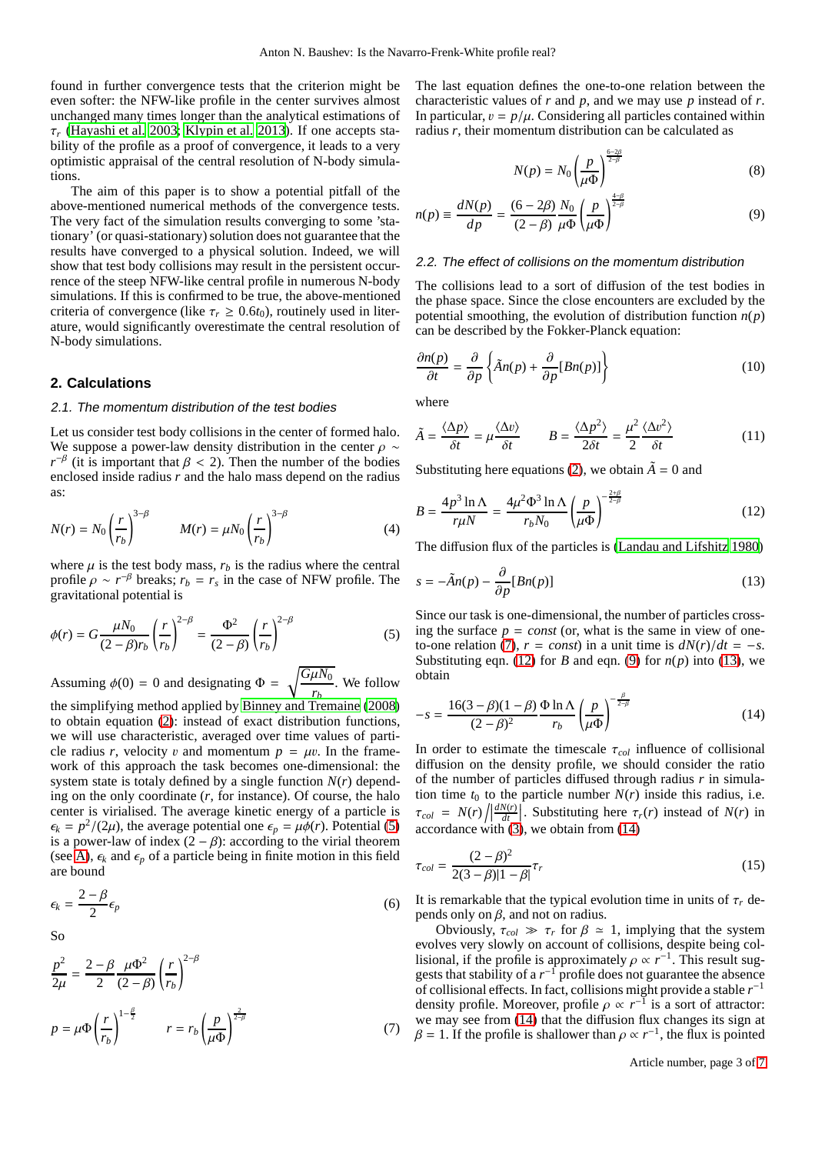found in further convergence tests that the criterion might be even softer: the NFW-like profile in the center survives almost unchanged many times longer than the analytical estimations of  $\tau_r$  [\(Hayashi et al. 2003;](#page-6-17) [Klypin et al. 2013](#page-6-12)). If one accepts stability of the profile as a proof of convergence, it leads to a very optimistic appraisal of the central resolution of N-body simulations.

The aim of this paper is to show a potential pitfall of the above-mentioned numerical methods of the convergence tests. The very fact of the simulation results converging to some 'stationary' (or quasi-stationary) solution does not guarantee that the results have converged to a physical solution. Indeed, we will show that test body collisions may result in the persistent occurrence of the steep NFW-like central profile in numerous N-body simulations. If this is confirmed to be true, the above-mentioned criteria of convergence (like  $\tau_r > 0.6t_0$ ), routinely used in literature, would significantly overestimate the central resolution of N-body simulations.

### **2. Calculations**

#### 2.1. The momentum distribution of the test bodies

Let us consider test body collisions in the center of formed halo. We suppose a power-law density distribution in the center  $\rho \sim$  $r^{-\beta}$  (it is important that  $\beta$  < 2). Then the number of the bodies enclosed inside radius *r* and the halo mass depend on the radius as:

$$
N(r) = N_0 \left(\frac{r}{r_b}\right)^{3-\beta} \qquad M(r) = \mu N_0 \left(\frac{r}{r_b}\right)^{3-\beta} \tag{4}
$$

where  $\mu$  is the test body mass,  $r_b$  is the radius where the central profile  $\rho \sim r^{-\beta}$  breaks;  $r_b = r_s$  in the case of NFW profile. The gravitational potential is

<span id="page-2-0"></span>
$$
\phi(r) = G \frac{\mu N_0}{(2 - \beta)r_b} \left(\frac{r}{r_b}\right)^{2-\beta} = \frac{\Phi^2}{(2 - \beta)} \left(\frac{r}{r_b}\right)^{2-\beta} \tag{5}
$$

Assuming  $\phi(0) = 0$  and designating  $\Phi = \sqrt{\frac{\phi(0)}{n}}$ *G*µ*N*<sup>0</sup>  $\frac{arv_0}{r_b}$ . We follow the simplifying method applied by [Binney and Tremaine](#page-6-10) [\(2008\)](#page-6-10) to obtain equation [\(2\)](#page-1-0): instead of exact distribution functions, we will use characteristic, averaged over time values of parti-

cle radius *r*, velocity *v* and momentum  $p = \mu v$ . In the framework of this approach the task becomes one-dimensional: the system state is totaly defined by a single function *N*(*r*) depending on the only coordinate  $(r,$  for instance). Of course, the halo center is virialised. The average kinetic energy of a particle is  $\epsilon_k = p^2/(2\mu)$ , the average potential one  $\epsilon_p = \mu \phi(r)$ . Potential [\(5\)](#page-2-0) is a power-law of index  $(2 - \beta)$ : according to the virial theorem (see [A\)](#page-5-6),  $\epsilon_k$  and  $\epsilon_p$  of a particle being in finite motion in this field are bound

<span id="page-2-7"></span>
$$
\epsilon_k = \frac{2 - \beta}{2} \epsilon_p \tag{6}
$$

So

<span id="page-2-1"></span>
$$
\frac{p^2}{2\mu} = \frac{2-\beta}{2} \frac{\mu \Phi^2}{(2-\beta)} \left(\frac{r}{r_b}\right)^{2-\beta}
$$

$$
p = \mu \Phi \left(\frac{r}{r_b}\right)^{1-\frac{\beta}{2}} \qquad r = r_b \left(\frac{p}{\mu \Phi}\right)^{\frac{2}{2-\beta}}
$$
(7)

The last equation defines the one-to-one relation between the characteristic values of *r* and *p*, and we may use *p* instead of *r*. In particular,  $v = p/\mu$ . Considering all particles contained within radius *r*, their momentum distribution can be calculated as

<span id="page-2-3"></span>
$$
N(p) = N_0 \left(\frac{p}{\mu \Phi}\right)^{\frac{6-2\beta}{2-\beta}}
$$
 (8)

$$
n(p) = \frac{dN(p)}{dp} = \frac{(6-2\beta)}{(2-\beta)} \frac{N_0}{\mu \Phi} \left(\frac{p}{\mu \Phi}\right)^{\frac{4-\beta}{2-\beta}}
$$
(9)

#### 2.2. The effect of collisions on the momentum distribution

The collisions lead to a sort of diffusion of the test bodies in the phase space. Since the close encounters are excluded by the potential smoothing, the evolution of distribution function  $n(p)$ can be described by the Fokker-Planck equation:

$$
\frac{\partial n(p)}{\partial t} = \frac{\partial}{\partial p} \left\{ \tilde{A} n(p) + \frac{\partial}{\partial p} [B n(p)] \right\} \tag{10}
$$

where

$$
\tilde{A} = \frac{\langle \Delta p \rangle}{\delta t} = \mu \frac{\langle \Delta v \rangle}{\delta t} \qquad B = \frac{\langle \Delta p^2 \rangle}{2\delta t} = \frac{\mu^2}{2} \frac{\langle \Delta v^2 \rangle}{\delta t}
$$
(11)

Substituting here equations [\(2\)](#page-1-0), we obtain  $\tilde{A} = 0$  and

<span id="page-2-2"></span>
$$
B = \frac{4p^3 \ln \Lambda}{r \mu N} = \frac{4\mu^2 \Phi^3 \ln \Lambda}{r_b N_0} \left(\frac{p}{\mu \Phi}\right)^{-\frac{2+\beta}{2-\beta}}
$$
(12)

The diffusion flux of the particles is [\(Landau and Lifshitz 1980\)](#page-6-18)

<span id="page-2-4"></span>
$$
s = -\tilde{A}n(p) - \frac{\partial}{\partial p}[Bn(p)]\tag{13}
$$

Since our task is one-dimensional, the number of particles crossing the surface  $p = const$  (or, what is the same in view of one-to-one relation [\(7\)](#page-2-1),  $r = const$ ) in a unit time is  $dN(r)/dt = -s$ . Substituting eqn. [\(12\)](#page-2-2) for *B* and eqn. [\(9\)](#page-2-3) for  $n(p)$  into [\(13\)](#page-2-4), we obtain

<span id="page-2-5"></span>
$$
-s = \frac{16(3-\beta)(1-\beta)}{(2-\beta)^2} \frac{\Phi \ln \Lambda}{r_b} \left(\frac{p}{\mu \Phi}\right)^{-\frac{\beta}{2-\beta}}
$$
(14)

In order to estimate the timescale τ*col* influence of collisional diffusion on the density profile, we should consider the ratio of the number of particles diffused through radius *r* in simulation time  $t_0$  to the particle number  $N(r)$  inside this radius, i.e.  $\tau_{col} = N(r) / \left| \frac{dN(r)}{dt} \right|$  $\frac{1}{c}$  accordance with [\(3\)](#page-1-1), we obtain from [\(14\)](#page-2-5)  $\frac{N(r)}{dt}$ . Substituting here  $\tau_r(r)$  instead of *N*(*r*) in

<span id="page-2-6"></span>
$$
\tau_{col} = \frac{(2-\beta)^2}{2(3-\beta)|1-\beta|} \tau_r
$$
\n(15)

It is remarkable that the typical evolution time in units of  $\tau_r$  depends only on  $β$ , and not on radius.

Obviously,  $\tau_{col} \gg \tau_r$  for  $\beta \simeq 1$ , implying that the system evolves very slowly on account of collisions, despite being collisional, if the profile is approximately  $\rho \propto r^{-1}$ . This result suggests that stability of a  $r^{-1}$  profile does not guarantee the absence of collisional effects. In fact, collisions might provide a stable  $r^{-1}$ density profile. Moreover, profile  $\rho \propto r^{-1}$  is a sort of attractor: we may see from [\(14\)](#page-2-5) that the diffusion flux changes its sign at  $\beta = 1$ . If the profile is shallower than  $\rho \propto r^{-1}$ , the flux is pointed

Article number, page 3 of 7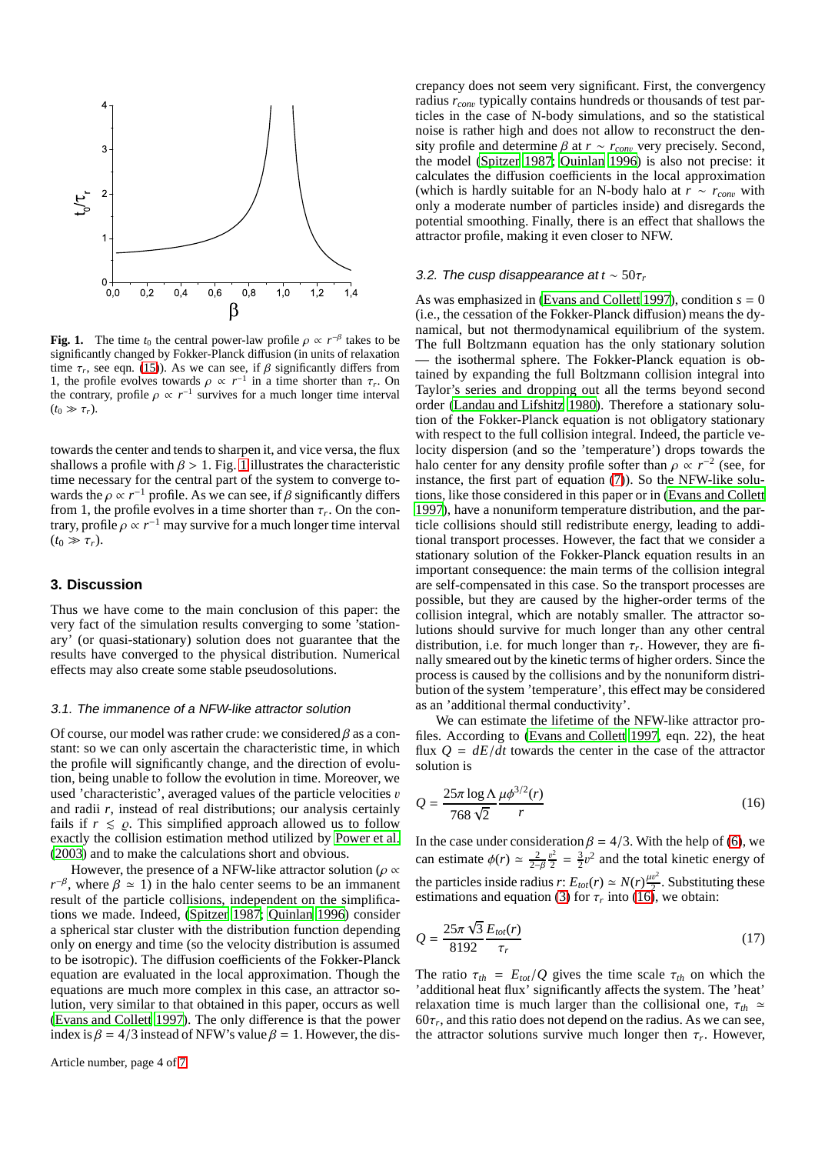

<span id="page-3-0"></span>**Fig. 1.** The time  $t_0$  the central power-law profile  $\rho \propto r^{-\beta}$  takes to be significantly changed by Fokker-Planck diffusion (in units of relaxation time  $\tau_r$ , see eqn. [\(15\)](#page-2-6)). As we can see, if  $\beta$  significantly differs from 1, the profile evolves towards  $\rho \propto r^{-1}$  in a time shorter than  $\tau_r$ . On the contrary, profile  $\rho \propto r^{-1}$  survives for a much longer time interval  $(t_0 \gg \tau_r)$ .

towards the center and tends to sharpen it, and vice versa, the flux shallows a profile with  $\beta > 1$  $\beta > 1$ . Fig. 1 illustrates the characteristic time necessary for the central part of the system to converge towards the  $\rho \propto r^{-1}$  profile. As we can see, if  $\beta$  significantly differs from 1, the profile evolves in a time shorter than  $\tau_r$ . On the contrary, profile  $\rho \propto r^{-1}$  may survive for a much longer time interval  $(t_0 \gg \tau_r)$ .

## **3. Discussion**

Thus we have come to the main conclusion of this paper: the very fact of the simulation results converging to some 'stationary' (or quasi-stationary) solution does not guarantee that the results have converged to the physical distribution. Numerical effects may also create some stable pseudosolutions.

#### 3.1. The immanence of <sup>a</sup> NFW-like attractor solution

Of course, our model was rather crude: we considered  $\beta$  as a constant: so we can only ascertain the characteristic time, in which the profile will significantly change, and the direction of evolution, being unable to follow the evolution in time. Moreover, we used 'characteristic', averaged values of the particle velocities  $v$ and radii *r*, instead of real distributions; our analysis certainly fails if  $r \leq \varrho$ . This simplified approach allowed us to follow exactly the collision estimation method utilized by [Power et al.](#page-6-11) [\(2003](#page-6-11)) and to make the calculations short and obvious.

However, the presence of a NFW-like attractor solution ( $\rho \propto$  $r^{-\beta}$ , where  $\beta \simeq 1$ ) in the halo center seems to be an immanent result of the particle collisions, independent on the simplifications we made. Indeed, [\(Spitzer 1987;](#page-6-19) [Quinlan 1996\)](#page-6-20) consider a spherical star cluster with the distribution function depending only on energy and time (so the velocity distribution is assumed to be isotropic). The diffusion coefficients of the Fokker-Planck equation are evaluated in the local approximation. Though the equations are much more complex in this case, an attractor solution, very similar to that obtained in this paper, occurs as well [\(Evans and Collett 1997\)](#page-6-21). The only difference is that the power index is  $\beta = 4/3$  instead of NFW's value  $\beta = 1$ . However, the discrepancy does not seem very significant. First, the convergency radius *rcon*<sup>v</sup> typically contains hundreds or thousands of test particles in the case of N-body simulations, and so the statistical noise is rather high and does not allow to reconstruct the density profile and determine  $\beta$  at  $r \sim r_{conv}$  very precisely. Second, the model [\(Spitzer 1987;](#page-6-19) [Quinlan 1996\)](#page-6-20) is also not precise: it calculates the diffusion coefficients in the local approximation (which is hardly suitable for an N-body halo at  $r \sim r_{conv}$  with only a moderate number of particles inside) and disregards the potential smoothing. Finally, there is an effect that shallows the attractor profile, making it even closer to NFW.

#### 3.2. The cusp disappearance at  $t \sim 50\tau_r$

As was emphasized in [\(Evans and Collett 1997\)](#page-6-21), condition  $s = 0$ (i.e., the cessation of the Fokker-Planck diffusion) means the dynamical, but not thermodynamical equilibrium of the system. The full Boltzmann equation has the only stationary solution — the isothermal sphere. The Fokker-Planck equation is obtained by expanding the full Boltzmann collision integral into Taylor's series and dropping out all the terms beyond second order [\(Landau and Lifshitz 1980](#page-6-18)). Therefore a stationary solution of the Fokker-Planck equation is not obligatory stationary with respect to the full collision integral. Indeed, the particle velocity dispersion (and so the 'temperature') drops towards the halo center for any density profile softer than  $\rho \propto r^{-2}$  (see, for instance, the first part of equation [\(7\)](#page-2-1)). So the NFW-like solutions, like those considered in this paper or in [\(Evans and Collett](#page-6-21) [1997\)](#page-6-21), have a nonuniform temperature distribution, and the particle collisions should still redistribute energy, leading to additional transport processes. However, the fact that we consider a stationary solution of the Fokker-Planck equation results in an important consequence: the main terms of the collision integral are self-compensated in this case. So the transport processes are possible, but they are caused by the higher-order terms of the collision integral, which are notably smaller. The attractor solutions should survive for much longer than any other central distribution, i.e. for much longer than  $\tau_r$ . However, they are finally smeared out by the kinetic terms of higher orders. Since the process is caused by the collisions and by the nonuniform distribution of the system 'temperature', this effect may be considered as an 'additional thermal conductivity'.

We can estimate the lifetime of the NFW-like attractor profiles. According to [\(Evans and Collett 1997](#page-6-21), eqn. 22), the heat flux  $Q = dE/dt$  towards the center in the case of the attractor solution is

<span id="page-3-1"></span>
$$
Q = \frac{25\pi \log \Lambda}{768\sqrt{2}} \frac{\mu \phi^{3/2}(r)}{r}
$$
 (16)

In the case under consideration  $\beta = 4/3$ . With the help of [\(6\)](#page-2-7), we can estimate  $\phi(r) \simeq \frac{2}{2-\beta} \frac{v^2}{2}$  $\frac{y^2}{2} = \frac{3}{2}v^2$  and the total kinetic energy of the particles inside radius  $r: E_{tot}(r) \simeq N(r) \frac{\mu v^2}{c^2}$  $\frac{w}{2}$ . Substituting these estimations and equation [\(3\)](#page-1-1) for  $\tau_r$  into [\(16\)](#page-3-1), we obtain:

$$
Q = \frac{25\pi\sqrt{3}}{8192} \frac{E_{tot}(r)}{\tau_r}
$$
 (17)

The ratio  $\tau_{th} = E_{tot}/Q$  gives the time scale  $\tau_{th}$  on which the 'additional heat flux' significantly affects the system. The 'heat' relaxation time is much larger than the collisional one,  $\tau_{th} \simeq$  $60\tau_r$ , and this ratio does not depend on the radius. As we can see, the attractor solutions survive much longer then  $\tau_r$ . However,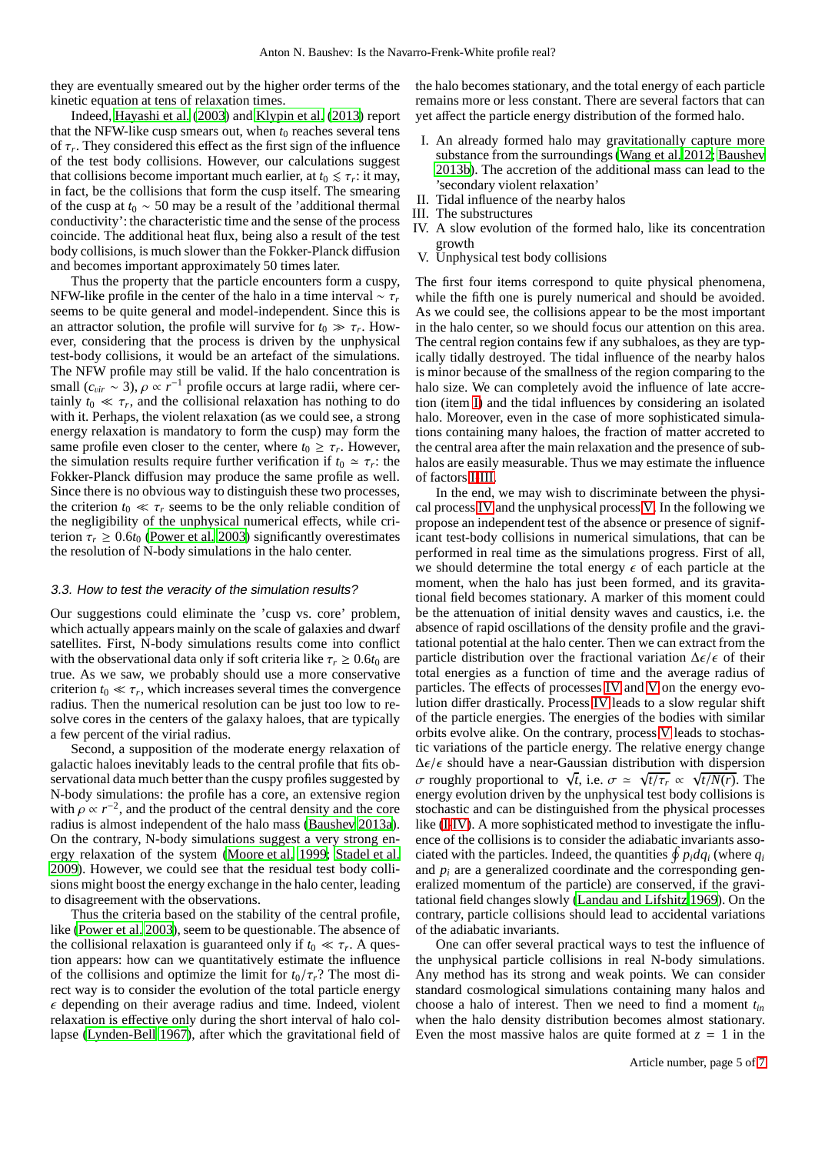they are eventually smeared out by the higher order terms of the kinetic equation at tens of relaxation times.

Indeed, [Hayashi et al. \(2003\)](#page-6-17) and [Klypin et al. \(2013\)](#page-6-12) report that the NFW-like cusp smears out, when  $t_0$  reaches several tens of  $\tau_r$ . They considered this effect as the first sign of the influence of the test body collisions. However, our calculations suggest that collisions become important much earlier, at  $t_0 \leq \tau_r$ : it may, in fact, be the collisions that form the cusp itself. The smearing of the cusp at  $t_0 \sim 50$  may be a result of the 'additional thermal conductivity': the characteristic time and the sense of the process coincide. The additional heat flux, being also a result of the test body collisions, is much slower than the Fokker-Planck diffusion and becomes important approximately 50 times later.

Thus the property that the particle encounters form a cuspy, NFW-like profile in the center of the halo in a time interval  $\sim \tau_r$ seems to be quite general and model-independent. Since this is an attractor solution, the profile will survive for  $t_0 \gg \tau_r$ . However, considering that the process is driven by the unphysical test-body collisions, it would be an artefact of the simulations. The NFW profile may still be valid. If the halo concentration is small ( $c_{vir} \sim 3$ ),  $\rho \propto r^{-1}$  profile occurs at large radii, where certainly  $t_0 \ll \tau_r$ , and the collisional relaxation has nothing to do with it. Perhaps, the violent relaxation (as we could see, a strong energy relaxation is mandatory to form the cusp) may form the same profile even closer to the center, where  $t_0 \geq \tau_r$ . However, the simulation results require further verification if  $t_0 \approx \tau_r$ : the Fokker-Planck diffusion may produce the same profile as well. Since there is no obvious way to distinguish these two processes, the criterion  $t_0 \ll \tau_r$  seems to be the only reliable condition of the negligibility of the unphysical numerical effects, while criterion  $\tau_r \geq 0.6t_0$  [\(Power et al. 2003\)](#page-6-11) significantly overestimates the resolution of N-body simulations in the halo center.

#### 3.3. How to test the veracity of the simulation results?

Our suggestions could eliminate the 'cusp vs. core' problem, which actually appears mainly on the scale of galaxies and dwarf satellites. First, N-body simulations results come into conflict with the observational data only if soft criteria like  $\tau_r \geq 0.6t_0$  are true. As we saw, we probably should use a more conservative criterion  $t_0 \ll \tau_r$ , which increases several times the convergence radius. Then the numerical resolution can be just too low to resolve cores in the centers of the galaxy haloes, that are typically a few percent of the virial radius.

Second, a supposition of the moderate energy relaxation of galactic haloes inevitably leads to the central profile that fits observational data much better than the cuspy profiles suggested by N-body simulations: the profile has a core, an extensive region with  $\rho \propto r^{-2}$ , and the product of the central density and the core radius is almost independent of the halo mass [\(Baushev 2013a](#page-6-8)). On the contrary, N-body simulations suggest a very strong energy relaxation of the system [\(Moore et al. 1999;](#page-5-0) [Stadel et al.](#page-5-2) [2009\)](#page-5-2). However, we could see that the residual test body collisions might boost the energy exchange in the halo center, leading to disagreement with the observations.

Thus the criteria based on the stability of the central profile, like [\(Power et al. 2003](#page-6-11)), seem to be questionable. The absence of the collisional relaxation is guaranteed only if  $t_0 \ll \tau_r$ . A question appears: how can we quantitatively estimate the influence of the collisions and optimize the limit for  $t_0/\tau_r$ ? The most direct way is to consider the evolution of the total particle energy  $\epsilon$  depending on their average radius and time. Indeed, violent relaxation is effective only during the short interval of halo collapse [\(Lynden-Bell 1967\)](#page-6-9), after which the gravitational field of the halo becomes stationary, and the total energy of each particle remains more or less constant. There are several factors that can yet affect the particle energy distribution of the formed halo.

- <span id="page-4-0"></span>I. An already formed halo may gravitationally capture more substance from the surroundings [\(Wang et al. 2012;](#page-6-22) [Baushev](#page-6-23) [2013b](#page-6-23)). The accretion of the additional mass can lead to the 'secondary violent relaxation'
- <span id="page-4-1"></span>II. Tidal influence of the nearby halos
- <span id="page-4-2"></span>III. The substructures
- IV. A slow evolution of the formed halo, like its concentration growth
- <span id="page-4-3"></span>V. Unphysical test body collisions

The first four items correspond to quite physical phenomena, while the fifth one is purely numerical and should be avoided. As we could see, the collisions appear to be the most important in the halo center, so we should focus our attention on this area. The central region contains few if any subhaloes, as they are typically tidally destroyed. The tidal influence of the nearby halos is minor because of the smallness of the region comparing to the halo size. We can completely avoid the influence of late accretion (item [I\)](#page-4-0) and the tidal influences by considering an isolated halo. Moreover, even in the case of more sophisticated simulations containing many haloes, the fraction of matter accreted to the central area after the main relaxation and the presence of subhalos are easily measurable. Thus we may estimate the influence of factors [I](#page-4-0)[-III.](#page-4-1)

In the end, we may wish to discriminate between the physical process [IV](#page-4-2) and the unphysical process [V.](#page-4-3) In the following we propose an independent test of the absence or presence of significant test-body collisions in numerical simulations, that can be performed in real time as the simulations progress. First of all, we should determine the total energy  $\epsilon$  of each particle at the moment, when the halo has just been formed, and its gravitational field becomes stationary. A marker of this moment could be the attenuation of initial density waves and caustics, i.e. the absence of rapid oscillations of the density profile and the gravitational potential at the halo center. Then we can extract from the particle distribution over the fractional variation  $\Delta \epsilon / \epsilon$  of their total energies as a function of time and the average radius of particles. The effects of processes [IV](#page-4-2) and [V](#page-4-3) on the energy evolution differ drastically. Process [IV](#page-4-2) leads to a slow regular shift of the particle energies. The energies of the bodies with similar orbits evolve alike. On the contrary, process [V](#page-4-3) leads to stochastic variations of the particle energy. The relative energy change  $\Delta \epsilon / \epsilon$  should have a near-Gaussian distribution with dispersion *σ* roughly proportional to  $\sqrt{t}$ , i.e. *σ* ≃  $\sqrt{t/\tau_r}$  ∝  $\sqrt{t/N(r)}$ . The energy evolution driven by the unphysical test body collisions is stochastic and can be distinguished from the physical processes like [\(I](#page-4-0)[-IV\)](#page-4-2). A more sophisticated method to investigate the influence of the collisions is to consider the adiabatic invariants associated with the particles. Indeed, the quantities  $\oint p_i dq_i$  (where  $q_i$ and  $p_i$  are a generalized coordinate and the corresponding generalized momentum of the particle) are conserved, if the gravitational field changes slowly [\(Landau and Lifshitz 1969\)](#page-6-24). On the contrary, particle collisions should lead to accidental variations of the adiabatic invariants.

One can offer several practical ways to test the influence of the unphysical particle collisions in real N-body simulations. Any method has its strong and weak points. We can consider standard cosmological simulations containing many halos and choose a halo of interest. Then we need to find a moment *tin* when the halo density distribution becomes almost stationary. Even the most massive halos are quite formed at  $z = 1$  in the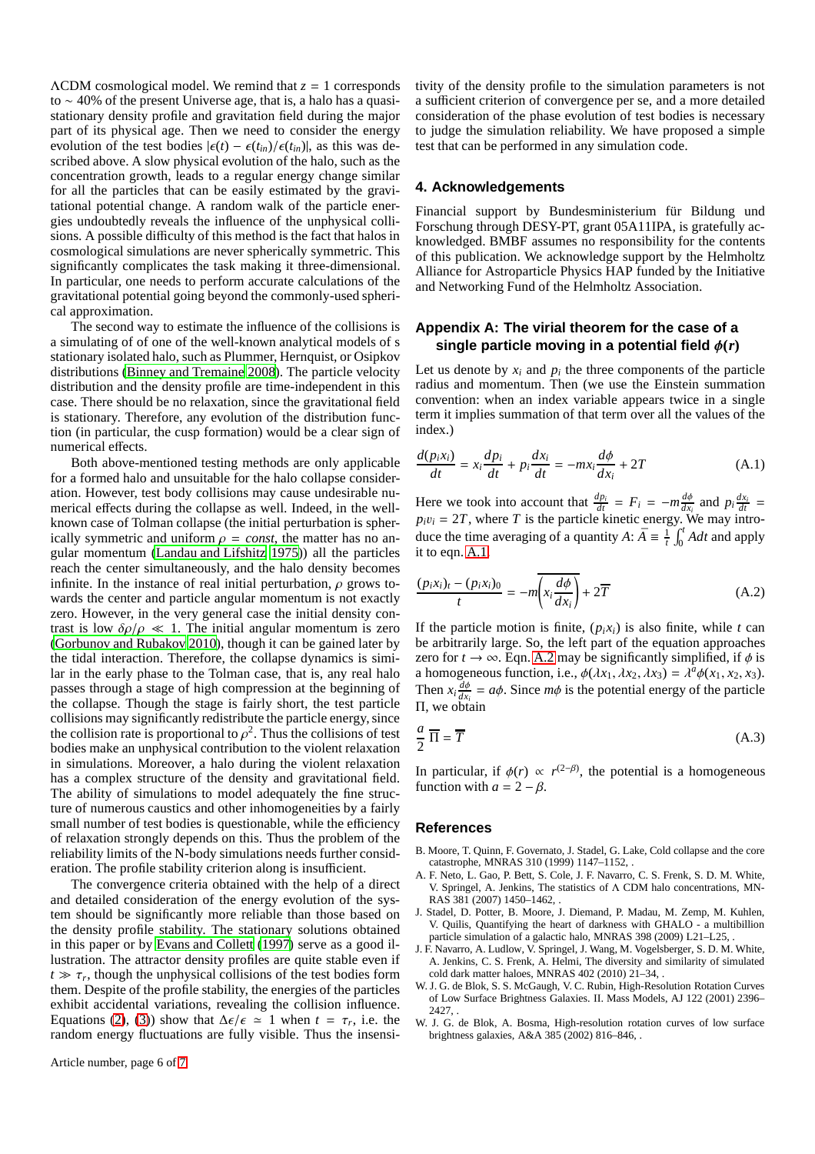ΛCDM cosmological model. We remind that *z* = 1 corresponds to ∼ 40% of the present Universe age, that is, a halo has a quasistationary density profile and gravitation field during the major part of its physical age. Then we need to consider the energy evolution of the test bodies  $|\epsilon(t) - \epsilon(t_{in})/\epsilon(t_{in})|$ , as this was described above. A slow physical evolution of the halo, such as the concentration growth, leads to a regular energy change similar for all the particles that can be easily estimated by the gravitational potential change. A random walk of the particle energies undoubtedly reveals the influence of the unphysical collisions. A possible difficulty of this method is the fact that halos in cosmological simulations are never spherically symmetric. This significantly complicates the task making it three-dimensional. In particular, one needs to perform accurate calculations of the gravitational potential going beyond the commonly-used spherical approximation.

The second way to estimate the influence of the collisions is a simulating of of one of the well-known analytical models of s stationary isolated halo, such as Plummer, Hernquist, or Osipkov distributions [\(Binney and Tremaine 2008\)](#page-6-10). The particle velocity distribution and the density profile are time-independent in this case. There should be no relaxation, since the gravitational field is stationary. Therefore, any evolution of the distribution function (in particular, the cusp formation) would be a clear sign of numerical effects.

Both above-mentioned testing methods are only applicable for a formed halo and unsuitable for the halo collapse consideration. However, test body collisions may cause undesirable numerical effects during the collapse as well. Indeed, in the wellknown case of Tolman collapse (the initial perturbation is spherically symmetric and uniform  $\rho = const$ , the matter has no angular momentum [\(Landau and Lifshitz 1975\)](#page-6-25)) all the particles reach the center simultaneously, and the halo density becomes infinite. In the instance of real initial perturbation,  $\rho$  grows towards the center and particle angular momentum is not exactly zero. However, in the very general case the initial density contrast is low  $\delta \rho / \rho \ll 1$ . The initial angular momentum is zero [\(Gorbunov and Rubakov 2010\)](#page-6-26), though it can be gained later by the tidal interaction. Therefore, the collapse dynamics is similar in the early phase to the Tolman case, that is, any real halo passes through a stage of high compression at the beginning of the collapse. Though the stage is fairly short, the test particle collisions may significantly redistribute the particle energy, since the collision rate is proportional to  $\rho^2$ . Thus the collisions of test bodies make an unphysical contribution to the violent relaxation in simulations. Moreover, a halo during the violent relaxation has a complex structure of the density and gravitational field. The ability of simulations to model adequately the fine structure of numerous caustics and other inhomogeneities by a fairly small number of test bodies is questionable, while the efficiency of relaxation strongly depends on this. Thus the problem of the reliability limits of the N-body simulations needs further consideration. The profile stability criterion along is insufficient.

The convergence criteria obtained with the help of a direct and detailed consideration of the energy evolution of the system should be significantly more reliable than those based on the density profile stability. The stationary solutions obtained in this paper or by [Evans and Collett \(1997\)](#page-6-21) serve as a good illustration. The attractor density profiles are quite stable even if  $t \gg \tau_r$ , though the unphysical collisions of the test bodies form them. Despite of the profile stability, the energies of the particles exhibit accidental variations, revealing the collision influence. Equations [\(2\)](#page-1-0), [\(3\)](#page-1-1)) show that  $\Delta \epsilon / \epsilon \approx 1$  when  $t = \tau_r$ , i.e. the random energy fluctuations are fully visible. Thus the insensitivity of the density profile to the simulation parameters is not a sufficient criterion of convergence per se, and a more detailed consideration of the phase evolution of test bodies is necessary to judge the simulation reliability. We have proposed a simple test that can be performed in any simulation code.

## **4. Acknowledgements**

Financial support by Bundesministerium für Bildung und Forschung through DESY-PT, grant 05A11IPA, is gratefully acknowledged. BMBF assumes no responsibility for the contents of this publication. We acknowledge support by the Helmholtz Alliance for Astroparticle Physics HAP funded by the Initiative and Networking Fund of the Helmholtz Association.

## <span id="page-5-6"></span>**Appendix A: The virial theorem for the case of a** single particle moving in a potential field  $\phi(r)$

Let us denote by  $x_i$  and  $p_i$  the three components of the particle radius and momentum. Then (we use the Einstein summation convention: when an index variable appears twice in a single term it implies summation of that term over all the values of the index.)

<span id="page-5-7"></span>
$$
\frac{d(p_ix_i)}{dt} = x_i \frac{dp_i}{dt} + p_i \frac{dx_i}{dt} = -mx_i \frac{d\phi}{dx_i} + 2T
$$
 (A.1)

Here we took into account that  $\frac{dp_i}{dt} = F_i = -m\frac{d\phi}{dx_i}$  $\frac{d\phi}{dx_i}$  and  $p_i \frac{dx_i}{dt}$  =  $p_i v_i = 2T$ , where *T* is the particle kinetic energy. We may introduce the time averaging of a quantity *A*:  $\bar{A} = \frac{1}{t} \int_0^t A dt$  and apply it to eqn. [A.1.](#page-5-7)

<span id="page-5-8"></span>
$$
\frac{(p_i x_i)_t - (p_i x_i)_0}{t} = -m \overline{\left(x_i \frac{d\phi}{dx_i}\right)} + 2\overline{T}
$$
\n(A.2)

If the particle motion is finite,  $(p_i x_i)$  is also finite, while *t* can be arbitrarily large. So, the left part of the equation approaches zero for  $t \to \infty$ . Eqn. [A.2](#page-5-8) may be significantly simplified, if  $\phi$  is a homogeneous function, i.e.,  $\phi(\lambda x_1, \lambda x_2, \lambda x_3) = \lambda^a \phi(x_1, x_2, x_3)$ . Then  $x_i \frac{d\phi}{dx_i}$  $\frac{d\phi}{dx_i} = a\phi$ . Since  $m\phi$  is the potential energy of the particle Π, we obtain

$$
\frac{a}{2}\overline{\Pi} = \overline{T}
$$
 (A.3)

In particular, if  $\phi(r) \propto r^{(2-\beta)}$ , the potential is a homogeneous function with  $a = 2 - \beta$ .

#### **References**

- <span id="page-5-0"></span>B. Moore, T. Quinn, F. Governato, J. Stadel, G. Lake, Cold collapse and the core catastrophe, MNRAS 310 (1999) 1147–1152, .
- <span id="page-5-1"></span>A. F. Neto, L. Gao, P. Bett, S. Cole, J. F. Navarro, C. S. Frenk, S. D. M. White, V. Springel, A. Jenkins, The statistics of Λ CDM halo concentrations, MN-RAS 381 (2007) 1450-1462.
- <span id="page-5-2"></span>J. Stadel, D. Potter, B. Moore, J. Diemand, P. Madau, M. Zemp, M. Kuhlen, V. Quilis, Quantifying the heart of darkness with GHALO - a multibillion particle simulation of a galactic halo, MNRAS 398 (2009) L21-L25,
- <span id="page-5-3"></span>J. F. Navarro, A. Ludlow, V. Springel, J. Wang, M. Vogelsberger, S. D. M. White, A. Jenkins, C. S. Frenk, A. Helmi, The diversity and similarity of simulated cold dark matter haloes, MNRAS 402 (2010) 21–34, .
- <span id="page-5-4"></span>W. J. G. de Blok, S. S. McGaugh, V. C. Rubin, High-Resolution Rotation Curves of Low Surface Brightness Galaxies. II. Mass Models, AJ 122 (2001) 2396– 2427, .
- <span id="page-5-5"></span>W. J. G. de Blok, A. Bosma, High-resolution rotation curves of low surface brightness galaxies, A&A 385 (2002) 816–846, .